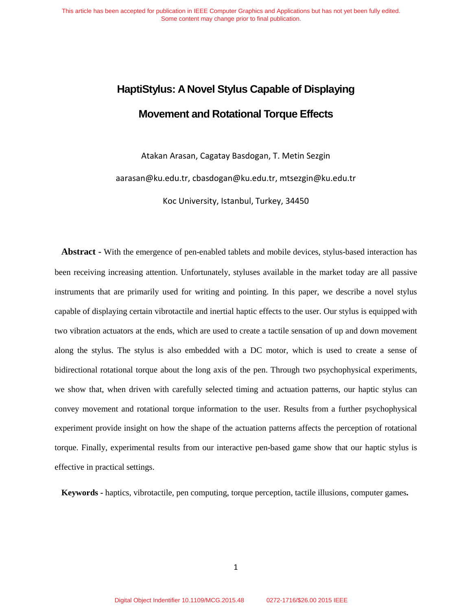# **HaptiStylus: A Novel Stylus Capable of Displaying Movement and Rotational Torque Effects**

Atakan Arasan, Cagatay Basdogan, T. Metin Sezgin

aarasan@ku.edu.tr, cbasdogan@ku.edu.tr, mtsezgin@ku.edu.tr

Koc University, Istanbul, Turkey, 34450

**Abstract -** With the emergence of pen-enabled tablets and mobile devices, stylus-based interaction has been receiving increasing attention. Unfortunately, styluses available in the market today are all passive instruments that are primarily used for writing and pointing. In this paper, we describe a novel stylus capable of displaying certain vibrotactile and inertial haptic effects to the user. Our stylus is equipped with two vibration actuators at the ends, which are used to create a tactile sensation of up and down movement along the stylus. The stylus is also embedded with a DC motor, which is used to create a sense of bidirectional rotational torque about the long axis of the pen. Through two psychophysical experiments, we show that, when driven with carefully selected timing and actuation patterns, our haptic stylus can convey movement and rotational torque information to the user. Results from a further psychophysical experiment provide insight on how the shape of the actuation patterns affects the perception of rotational torque. Finally, experimental results from our interactive pen-based game show that our haptic stylus is effective in practical settings.

**Keywords -** haptics, vibrotactile, pen computing, torque perception, tactile illusions, computer games**.**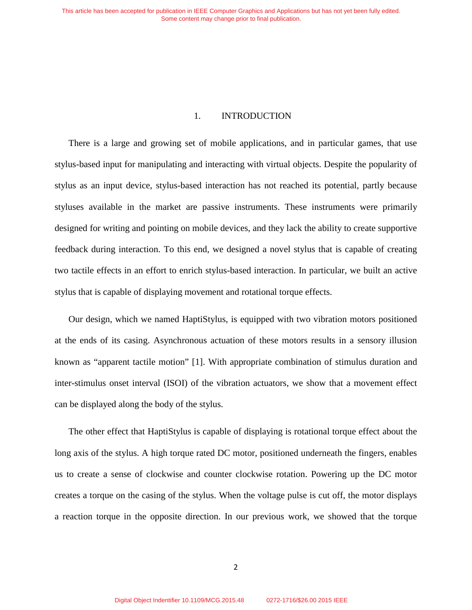# 1. INTRODUCTION

There is a large and growing set of mobile applications, and in particular games, that use stylus-based input for manipulating and interacting with virtual objects. Despite the popularity of stylus as an input device, stylus-based interaction has not reached its potential, partly because styluses available in the market are passive instruments. These instruments were primarily designed for writing and pointing on mobile devices, and they lack the ability to create supportive feedback during interaction. To this end, we designed a novel stylus that is capable of creating two tactile effects in an effort to enrich stylus-based interaction. In particular, we built an active stylus that is capable of displaying movement and rotational torque effects.

Our design, which we named HaptiStylus, is equipped with two vibration motors positioned at the ends of its casing. Asynchronous actuation of these motors results in a sensory illusion known as "apparent tactile motion" [1]. With appropriate combination of stimulus duration and inter-stimulus onset interval (ISOI) of the vibration actuators, we show that a movement effect can be displayed along the body of the stylus.

The other effect that HaptiStylus is capable of displaying is rotational torque effect about the long axis of the stylus. A high torque rated DC motor, positioned underneath the fingers, enables us to create a sense of clockwise and counter clockwise rotation. Powering up the DC motor creates a torque on the casing of the stylus. When the voltage pulse is cut off, the motor displays a reaction torque in the opposite direction. In our previous work, we showed that the torque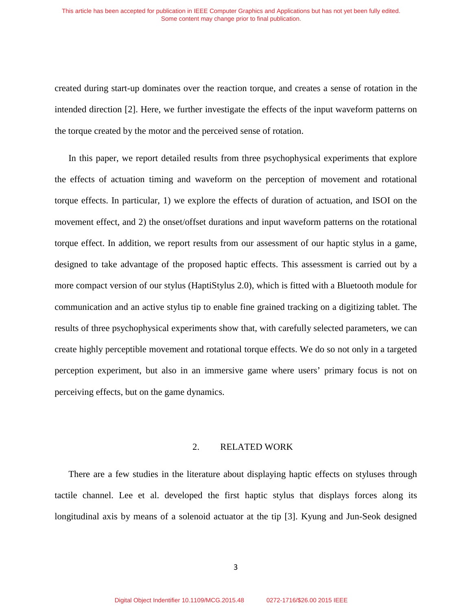created during start-up dominates over the reaction torque, and creates a sense of rotation in the intended direction [2]. Here, we further investigate the effects of the input waveform patterns on the torque created by the motor and the perceived sense of rotation.

In this paper, we report detailed results from three psychophysical experiments that explore the effects of actuation timing and waveform on the perception of movement and rotational torque effects. In particular, 1) we explore the effects of duration of actuation, and ISOI on the movement effect, and 2) the onset/offset durations and input waveform patterns on the rotational torque effect. In addition, we report results from our assessment of our haptic stylus in a game, designed to take advantage of the proposed haptic effects. This assessment is carried out by a more compact version of our stylus (HaptiStylus 2.0), which is fitted with a Bluetooth module for communication and an active stylus tip to enable fine grained tracking on a digitizing tablet. The results of three psychophysical experiments show that, with carefully selected parameters, we can create highly perceptible movement and rotational torque effects. We do so not only in a targeted perception experiment, but also in an immersive game where users' primary focus is not on perceiving effects, but on the game dynamics.

#### 2. RELATED WORK

There are a few studies in the literature about displaying haptic effects on styluses through tactile channel. Lee et al. developed the first haptic stylus that displays forces along its longitudinal axis by means of a solenoid actuator at the tip [3]. Kyung and Jun-Seok designed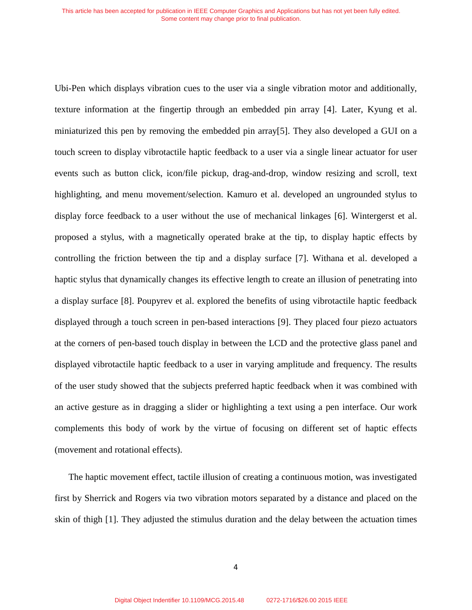Ubi-Pen which displays vibration cues to the user via a single vibration motor and additionally, texture information at the fingertip through an embedded pin array [4]. Later, Kyung et al. miniaturized this pen by removing the embedded pin array[5]. They also developed a GUI on a touch screen to display vibrotactile haptic feedback to a user via a single linear actuator for user events such as button click, icon/file pickup, drag-and-drop, window resizing and scroll, text highlighting, and menu movement/selection. Kamuro et al. developed an ungrounded stylus to display force feedback to a user without the use of mechanical linkages [6]. Wintergerst et al. proposed a stylus, with a magnetically operated brake at the tip, to display haptic effects by controlling the friction between the tip and a display surface [7]. Withana et al. developed a haptic stylus that dynamically changes its effective length to create an illusion of penetrating into a display surface [8]. Poupyrev et al. explored the benefits of using vibrotactile haptic feedback displayed through a touch screen in pen-based interactions [9]. They placed four piezo actuators at the corners of pen-based touch display in between the LCD and the protective glass panel and displayed vibrotactile haptic feedback to a user in varying amplitude and frequency. The results of the user study showed that the subjects preferred haptic feedback when it was combined with an active gesture as in dragging a slider or highlighting a text using a pen interface. Our work complements this body of work by the virtue of focusing on different set of haptic effects (movement and rotational effects).

The haptic movement effect, tactile illusion of creating a continuous motion, was investigated first by Sherrick and Rogers via two vibration motors separated by a distance and placed on the skin of thigh [1]. They adjusted the stimulus duration and the delay between the actuation times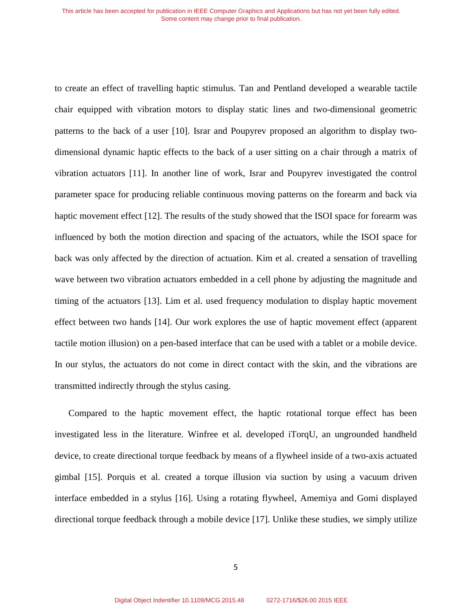to create an effect of travelling haptic stimulus. Tan and Pentland developed a wearable tactile chair equipped with vibration motors to display static lines and two-dimensional geometric patterns to the back of a user [10]. Israr and Poupyrev proposed an algorithm to display twodimensional dynamic haptic effects to the back of a user sitting on a chair through a matrix of vibration actuators [11]. In another line of work, Israr and Poupyrev investigated the control parameter space for producing reliable continuous moving patterns on the forearm and back via haptic movement effect [12]. The results of the study showed that the ISOI space for forearm was influenced by both the motion direction and spacing of the actuators, while the ISOI space for back was only affected by the direction of actuation. Kim et al. created a sensation of travelling wave between two vibration actuators embedded in a cell phone by adjusting the magnitude and timing of the actuators [13]. Lim et al. used frequency modulation to display haptic movement effect between two hands [14]. Our work explores the use of haptic movement effect (apparent tactile motion illusion) on a pen-based interface that can be used with a tablet or a mobile device. In our stylus, the actuators do not come in direct contact with the skin, and the vibrations are transmitted indirectly through the stylus casing.

Compared to the haptic movement effect, the haptic rotational torque effect has been investigated less in the literature. Winfree et al. developed iTorqU, an ungrounded handheld device, to create directional torque feedback by means of a flywheel inside of a two-axis actuated gimbal [15]. Porquis et al. created a torque illusion via suction by using a vacuum driven interface embedded in a stylus [16]. Using a rotating flywheel, Amemiya and Gomi displayed directional torque feedback through a mobile device [17]. Unlike these studies, we simply utilize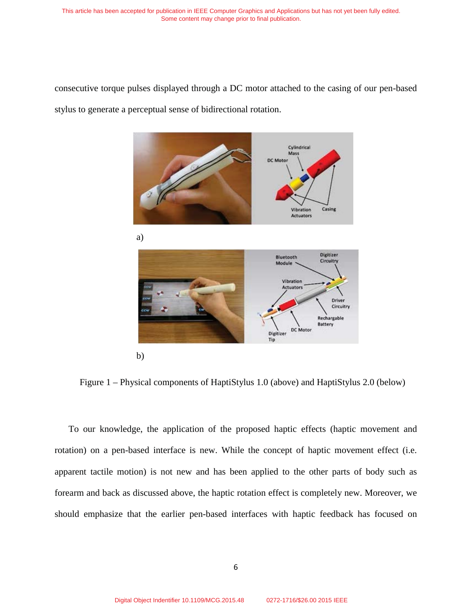consecutive torque pulses displayed through a DC motor attached to the casing of our pen-based stylus to generate a perceptual sense of bidirectional rotation.



Figure 1 – Physical components of HaptiStylus 1.0 (above) and HaptiStylus 2.0 (below)

To our knowledge, the application of the proposed haptic effects (haptic movement and rotation) on a pen-based interface is new. While the concept of haptic movement effect (i.e. apparent tactile motion) is not new and has been applied to the other parts of body such as forearm and back as discussed above, the haptic rotation effect is completely new. Moreover, we should emphasize that the earlier pen-based interfaces with haptic feedback has focused on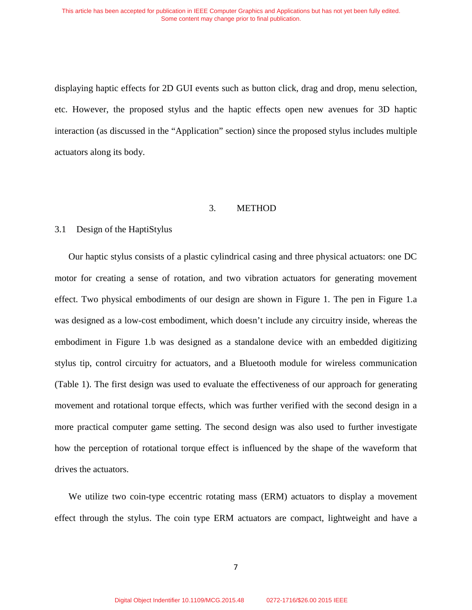displaying haptic effects for 2D GUI events such as button click, drag and drop, menu selection, etc. However, the proposed stylus and the haptic effects open new avenues for 3D haptic interaction (as discussed in the "Application" section) since the proposed stylus includes multiple actuators along its body.

#### 3. METHOD

# 3.1 Design of the HaptiStylus

Our haptic stylus consists of a plastic cylindrical casing and three physical actuators: one DC motor for creating a sense of rotation, and two vibration actuators for generating movement effect. Two physical embodiments of our design are shown in Figure 1. The pen in Figure 1.a was designed as a low-cost embodiment, which doesn't include any circuitry inside, whereas the embodiment in Figure 1.b was designed as a standalone device with an embedded digitizing stylus tip, control circuitry for actuators, and a Bluetooth module for wireless communication (Table 1). The first design was used to evaluate the effectiveness of our approach for generating movement and rotational torque effects, which was further verified with the second design in a more practical computer game setting. The second design was also used to further investigate how the perception of rotational torque effect is influenced by the shape of the waveform that drives the actuators.

We utilize two coin-type eccentric rotating mass (ERM) actuators to display a movement effect through the stylus. The coin type ERM actuators are compact, lightweight and have a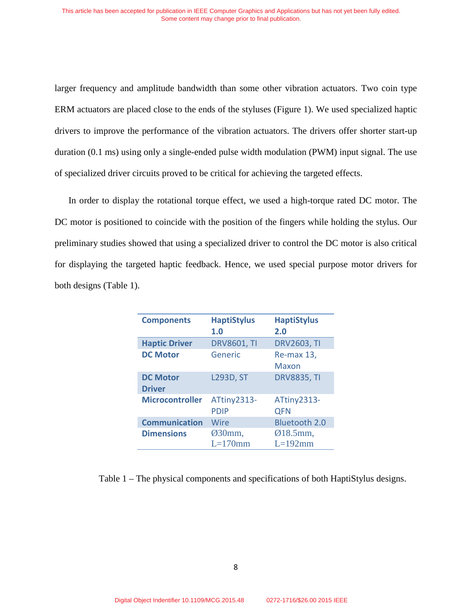larger frequency and amplitude bandwidth than some other vibration actuators. Two coin type ERM actuators are placed close to the ends of the styluses (Figure 1). We used specialized haptic drivers to improve the performance of the vibration actuators. The drivers offer shorter start-up duration (0.1 ms) using only a single-ended pulse width modulation (PWM) input signal. The use of specialized driver circuits proved to be critical for achieving the targeted effects.

In order to display the rotational torque effect, we used a high-torque rated DC motor. The DC motor is positioned to coincide with the position of the fingers while holding the stylus. Our preliminary studies showed that using a specialized driver to control the DC motor is also critical for displaying the targeted haptic feedback. Hence, we used special purpose motor drivers for both designs (Table 1).

| <b>Components</b>                | <b>HaptiStylus</b><br>1.0  | <b>HaptiStylus</b><br>2.0 |
|----------------------------------|----------------------------|---------------------------|
| <b>Haptic Driver</b>             | <b>DRV8601, TI</b>         | <b>DRV2603, TI</b>        |
| <b>DC Motor</b>                  | Generic                    | Re-max 13,<br>Maxon       |
| <b>DC Motor</b><br><b>Driver</b> | <b>L293D, ST</b>           | <b>DRV8835, TI</b>        |
| <b>Microcontroller</b>           | ATtiny2313-<br><b>PDIP</b> | ATtiny2313-<br><b>QFN</b> |
| <b>Communication</b>             | Wire                       | <b>Bluetooth 2.0</b>      |
| <b>Dimensions</b>                | $Ø30mm$ ,<br>$L=170$ mm    | $Ø18.5mm$ ,<br>$L=192$ mm |

Table 1 – The physical components and specifications of both HaptiStylus designs.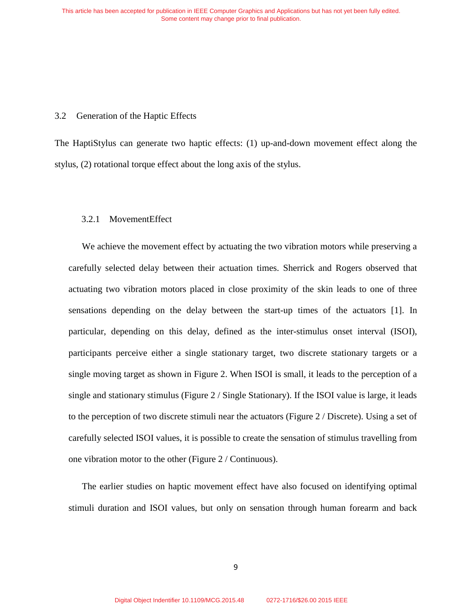#### 3.2 Generation of the Haptic Effects

The HaptiStylus can generate two haptic effects: (1) up-and-down movement effect along the stylus, (2) rotational torque effect about the long axis of the stylus.

# 3.2.1 MovementEffect

We achieve the movement effect by actuating the two vibration motors while preserving a carefully selected delay between their actuation times. Sherrick and Rogers observed that actuating two vibration motors placed in close proximity of the skin leads to one of three sensations depending on the delay between the start-up times of the actuators [1]. In particular, depending on this delay, defined as the inter-stimulus onset interval (ISOI), participants perceive either a single stationary target, two discrete stationary targets or a single moving target as shown in Figure 2. When ISOI is small, it leads to the perception of a single and stationary stimulus (Figure  $2/$  Single Stationary). If the ISOI value is large, it leads to the perception of two discrete stimuli near the actuators (Figure 2 / Discrete). Using a set of carefully selected ISOI values, it is possible to create the sensation of stimulus travelling from one vibration motor to the other (Figure 2 / Continuous).

The earlier studies on haptic movement effect have also focused on identifying optimal stimuli duration and ISOI values, but only on sensation through human forearm and back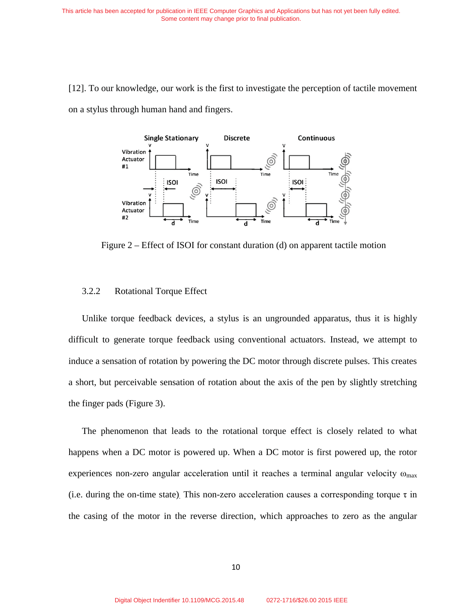[12]. To our knowledge, our work is the first to investigate the perception of tactile movement on a stylus through human hand and fingers.



Figure 2 – Effect of ISOI for constant duration (d) on apparent tactile motion

# 3.2.2 Rotational Torque Effect

Unlike torque feedback devices, a stylus is an ungrounded apparatus, thus it is highly difficult to generate torque feedback using conventional actuators. Instead, we attempt to induce a sensation of rotation by powering the DC motor through discrete pulses. This creates a short, but perceivable sensation of rotation about the axis of the pen by slightly stretching the finger pads (Figure 3).

The phenomenon that leads to the rotational torque effect is closely related to what happens when a DC motor is powered up. When a DC motor is first powered up, the rotor experiences non-zero angular acceleration until it reaches a terminal angular velocity  $\omega_{\text{max}}$ (i.e. during the on-time state). This non-zero acceleration causes a corresponding torque  $\tau$  in the casing of the motor in the reverse direction, which approaches to zero as the angular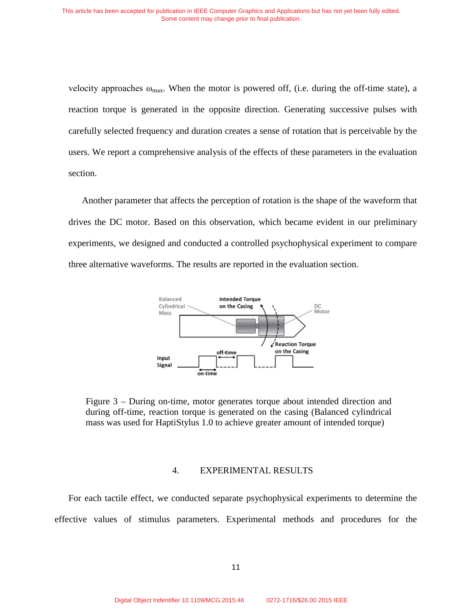velocity approaches  $\omega_{\text{max}}$ . When the motor is powered off, (i.e. during the off-time state), a reaction torque is generated in the opposite direction. Generating successive pulses with carefully selected frequency and duration creates a sense of rotation that is perceivable by the users. We report a comprehensive analysis of the effects of these parameters in the evaluation section.

Another parameter that affects the perception of rotation is the shape of the waveform that drives the DC motor. Based on this observation, which became evident in our preliminary experiments, we designed and conducted a controlled psychophysical experiment to compare three alternative waveforms. The results are reported in the evaluation section.



Figure 3 – During on-time, motor generates torque about intended direction and during off-time, reaction torque is generated on the casing (Balanced cylindrical mass was used for HaptiStylus 1.0 to achieve greater amount of intended torque)

### 4. EXPERIMENTAL RESULTS

For each tactile effect, we conducted separate psychophysical experiments to determine the effective values of stimulus parameters. Experimental methods and procedures for the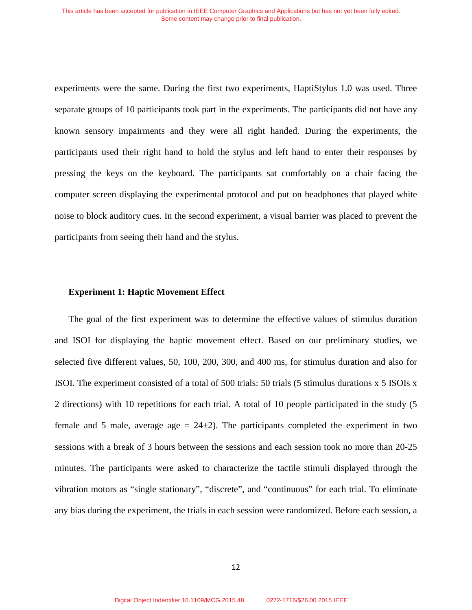experiments were the same. During the first two experiments, HaptiStylus 1.0 was used. Three separate groups of 10 participants took part in the experiments. The participants did not have any known sensory impairments and they were all right handed. During the experiments, the participants used their right hand to hold the stylus and left hand to enter their responses by pressing the keys on the keyboard. The participants sat comfortably on a chair facing the computer screen displaying the experimental protocol and put on headphones that played white noise to block auditory cues. In the second experiment, a visual barrier was placed to prevent the participants from seeing their hand and the stylus.

# **Experiment 1: Haptic Movement Effect**

The goal of the first experiment was to determine the effective values of stimulus duration and ISOI for displaying the haptic movement effect. Based on our preliminary studies, we selected five different values, 50, 100, 200, 300, and 400 ms, for stimulus duration and also for ISOI. The experiment consisted of a total of 500 trials: 50 trials (5 stimulus durations x 5 ISOIs x 2 directions) with 10 repetitions for each trial. A total of 10 people participated in the study (5 female and 5 male, average age  $= 24\pm 2$ ). The participants completed the experiment in two sessions with a break of 3 hours between the sessions and each session took no more than 20-25 minutes. The participants were asked to characterize the tactile stimuli displayed through the vibration motors as "single stationary", "discrete", and "continuous" for each trial. To eliminate any bias during the experiment, the trials in each session were randomized. Before each session, a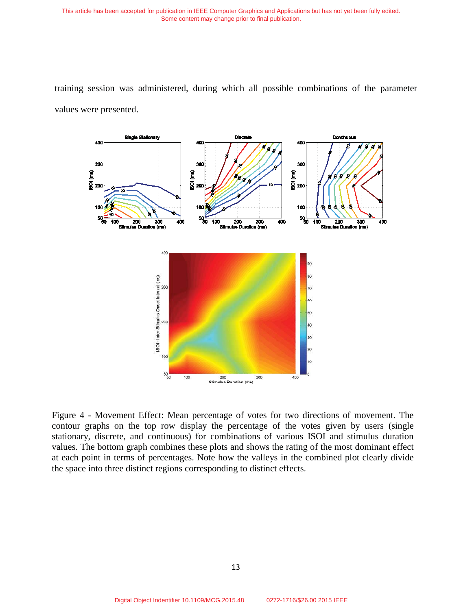This article has been accepted for publication in IEEE Computer Graphics and Applications but has not yet been fully edited. Some content may change prior to final publication.



training session was administered, during which all possible combinations of the parameter values were presented.

Figure 4 - Movement Effect: Mean percentage of votes for two directions of movement. The contour graphs on the top row display the percentage of the votes given by users (single stationary, discrete, and continuous) for combinations of various ISOI and stimulus duration values. The bottom graph combines these plots and shows the rating of the most dominant effect at each point in terms of percentages. Note how the valleys in the combined plot clearly divide the space into three distinct regions corresponding to distinct effects.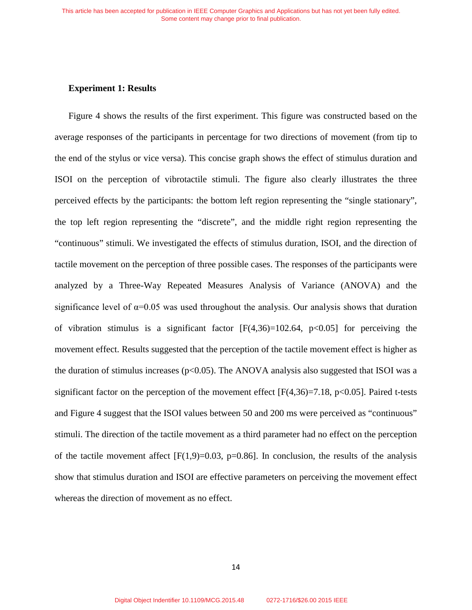# **Experiment 1: Results**

Figure 4 shows the results of the first experiment. This figure was constructed based on the average responses of the participants in percentage for two directions of movement (from tip to the end of the stylus or vice versa). This concise graph shows the effect of stimulus duration and ISOI on the perception of vibrotactile stimuli. The figure also clearly illustrates the three perceived effects by the participants: the bottom left region representing the "single stationary", the top left region representing the "discrete", and the middle right region representing the "continuous" stimuli. We investigated the effects of stimulus duration, ISOI, and the direction of tactile movement on the perception of three possible cases. The responses of the participants were analyzed by a Three-Way Repeated Measures Analysis of Variance (ANOVA) and the significance level of  $\alpha$ =0.05 was used throughout the analysis. Our analysis shows that duration of vibration stimulus is a significant factor  $[F(4,36)=102.64, p<0.05]$  for perceiving the movement effect. Results suggested that the perception of the tactile movement effect is higher as the duration of stimulus increases ( $p<0.05$ ). The ANOVA analysis also suggested that ISOI was a significant factor on the perception of the movement effect  $[F(4,36)=7.18, p<0.05]$ . Paired t-tests and Figure 4 suggest that the ISOI values between 50 and 200 ms were perceived as "continuous" stimuli. The direction of the tactile movement as a third parameter had no effect on the perception of the tactile movement affect  $[F(1,9)=0.03, p=0.86]$ . In conclusion, the results of the analysis show that stimulus duration and ISOI are effective parameters on perceiving the movement effect whereas the direction of movement as no effect.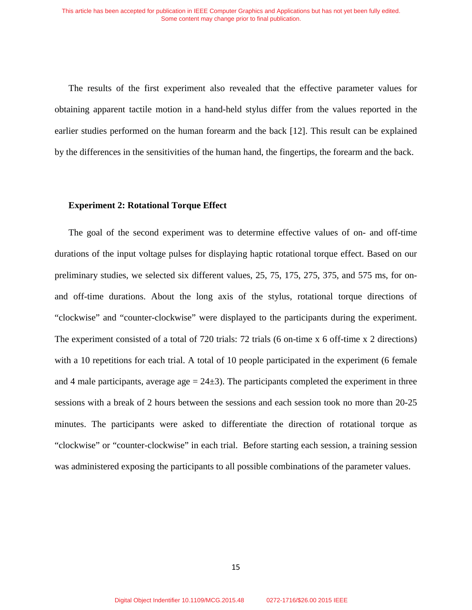The results of the first experiment also revealed that the effective parameter values for obtaining apparent tactile motion in a hand-held stylus differ from the values reported in the earlier studies performed on the human forearm and the back [12]. This result can be explained by the differences in the sensitivities of the human hand, the fingertips, the forearm and the back.

#### **Experiment 2: Rotational Torque Effect**

The goal of the second experiment was to determine effective values of on- and off-time durations of the input voltage pulses for displaying haptic rotational torque effect. Based on our preliminary studies, we selected six different values, 25, 75, 175, 275, 375, and 575 ms, for onand off-time durations. About the long axis of the stylus, rotational torque directions of "clockwise" and "counter-clockwise" were displayed to the participants during the experiment. The experiment consisted of a total of 720 trials: 72 trials (6 on-time x 6 off-time x 2 directions) with a 10 repetitions for each trial. A total of 10 people participated in the experiment (6 female and 4 male participants, average  $age = 24±3$ . The participants completed the experiment in three sessions with a break of 2 hours between the sessions and each session took no more than 20-25 minutes. The participants were asked to differentiate the direction of rotational torque as "clockwise" or "counter-clockwise" in each trial. Before starting each session, a training session was administered exposing the participants to all possible combinations of the parameter values.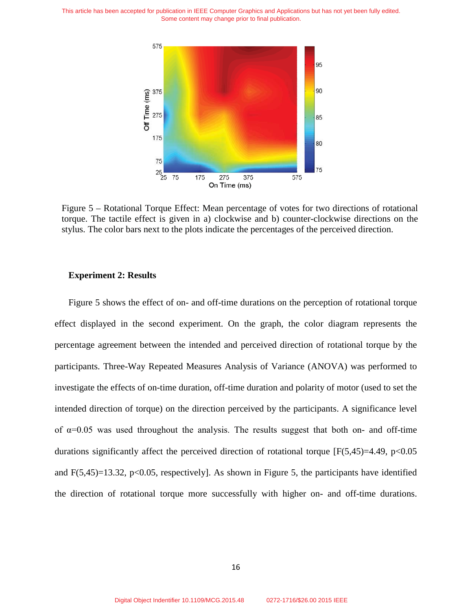This article has been accepted for publication in IEEE Computer Graphics and Applications but has not yet been fully edited. Some content may change prior to final publication.



Figure 5 – Rotational Torque Effect: Mean percentage of votes for two directions of rotational torque. The tactile effect is given in a) clockwise and b) counter-clockwise directions on the stylus. The color bars next to the plots indicate the percentages of the perceived direction.

#### **Experiment 2: Results**

Figure 5 shows the effect of on- and off-time durations on the perception of rotational torque effect displayed in the second experiment. On the graph, the color diagram represents the percentage agreement between the intended and perceived direction of rotational torque by the participants. Three-Way Repeated Measures Analysis of Variance (ANOVA) was performed to investigate the effects of on-time duration, off-time duration and polarity of motor (used to set the intended direction of torque) on the direction perceived by the participants. A significance level of  $\alpha$ =0.05 was used throughout the analysis. The results suggest that both on- and off-time durations significantly affect the perceived direction of rotational torque  $[F(5,45)=4.49, p<0.05]$ and  $F(5,45)=13.32$ ,  $p<0.05$ , respectively]. As shown in Figure 5, the participants have identified the direction of rotational torque more successfully with higher on- and off-time durations.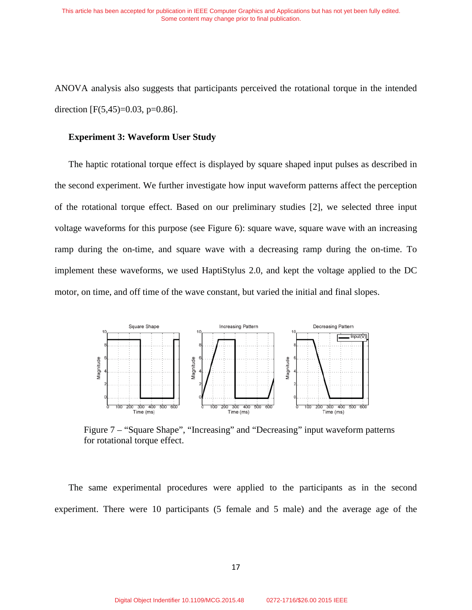ANOVA analysis also suggests that participants perceived the rotational torque in the intended direction  $[F(5,45)=0.03, p=0.86]$ .

#### **Experiment 3: Waveform User Study**

The haptic rotational torque effect is displayed by square shaped input pulses as described in the second experiment. We further investigate how input waveform patterns affect the perception of the rotational torque effect. Based on our preliminary studies [2], we selected three input voltage waveforms for this purpose (see Figure 6): square wave, square wave with an increasing ramp during the on-time, and square wave with a decreasing ramp during the on-time. To implement these waveforms, we used HaptiStylus 2.0, and kept the voltage applied to the DC motor, on time, and off time of the wave constant, but varied the initial and final slopes.



Figure 7 – "Square Shape", "Increasing" and "Decreasing" input waveform patterns for rotational torque effect.

The same experimental procedures were applied to the participants as in the second experiment. There were 10 participants (5 female and 5 male) and the average age of the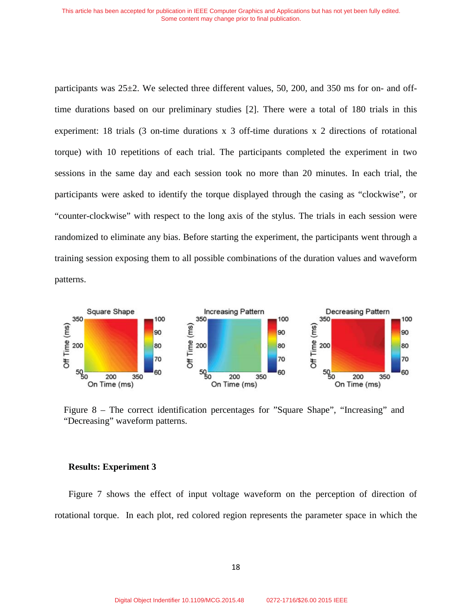participants was 25±2. We selected three different values, 50, 200, and 350 ms for on- and offtime durations based on our preliminary studies [2]. There were a total of 180 trials in this experiment: 18 trials (3 on-time durations x 3 off-time durations x 2 directions of rotational torque) with 10 repetitions of each trial. The participants completed the experiment in two sessions in the same day and each session took no more than 20 minutes. In each trial, the participants were asked to identify the torque displayed through the casing as "clockwise", or "counter-clockwise" with respect to the long axis of the stylus. The trials in each session were randomized to eliminate any bias. Before starting the experiment, the participants went through a training session exposing them to all possible combinations of the duration values and waveform patterns.



Figure 8 – The correct identification percentages for "Square Shape", "Increasing" and "Decreasing" waveform patterns.

#### **Results: Experiment 3**

Figure 7 shows the effect of input voltage waveform on the perception of direction of rotational torque. In each plot, red colored region represents the parameter space in which the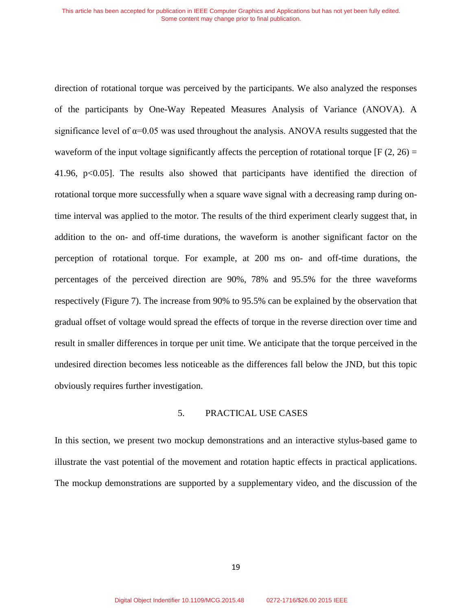direction of rotational torque was perceived by the participants. We also analyzed the responses of the participants by One-Way Repeated Measures Analysis of Variance (ANOVA). A significance level of  $\alpha$ =0.05 was used throughout the analysis. ANOVA results suggested that the waveform of the input voltage significantly affects the perception of rotational torque [F  $(2, 26)$  = 41.96, p<0.05]. The results also showed that participants have identified the direction of rotational torque more successfully when a square wave signal with a decreasing ramp during ontime interval was applied to the motor. The results of the third experiment clearly suggest that, in addition to the on- and off-time durations, the waveform is another significant factor on the perception of rotational torque. For example, at 200 ms on- and off-time durations, the percentages of the perceived direction are 90%, 78% and 95.5% for the three waveforms respectively (Figure 7). The increase from 90% to 95.5% can be explained by the observation that gradual offset of voltage would spread the effects of torque in the reverse direction over time and result in smaller differences in torque per unit time. We anticipate that the torque perceived in the undesired direction becomes less noticeable as the differences fall below the JND, but this topic obviously requires further investigation.

### 5. PRACTICAL USE CASES

In this section, we present two mockup demonstrations and an interactive stylus-based game to illustrate the vast potential of the movement and rotation haptic effects in practical applications. The mockup demonstrations are supported by a supplementary video, and the discussion of the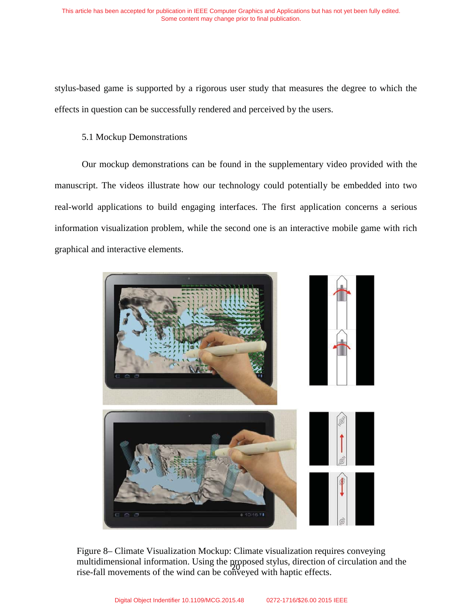stylus-based game is supported by a rigorous user study that measures the degree to which the effects in question can be successfully rendered and perceived by the users.

# 5.1 Mockup Demonstrations

Our mockup demonstrations can be found in the supplementary video provided with the manuscript. The videos illustrate how our technology could potentially be embedded into two real-world applications to build engaging interfaces. The first application concerns a serious information visualization problem, while the second one is an interactive mobile game with rich graphical and interactive elements.



Figure 8– Climate Visualization Mockup: Climate visualization requires conveying multidimensional information. Using the proposed stylus, direction of circulation and the rise-fall movements of the wind can be conveyed with haptic effects.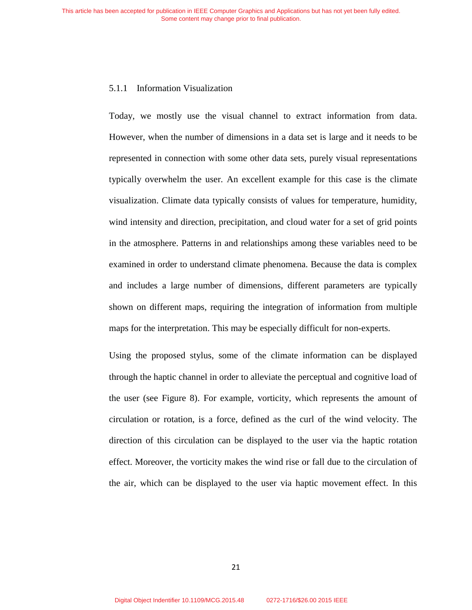# 5.1.1 Information Visualization

Today, we mostly use the visual channel to extract information from data. However, when the number of dimensions in a data set is large and it needs to be represented in connection with some other data sets, purely visual representations typically overwhelm the user. An excellent example for this case is the climate visualization. Climate data typically consists of values for temperature, humidity, wind intensity and direction, precipitation, and cloud water for a set of grid points in the atmosphere. Patterns in and relationships among these variables need to be examined in order to understand climate phenomena. Because the data is complex and includes a large number of dimensions, different parameters are typically shown on different maps, requiring the integration of information from multiple maps for the interpretation. This may be especially difficult for non-experts.

Using the proposed stylus, some of the climate information can be displayed through the haptic channel in order to alleviate the perceptual and cognitive load of the user (see Figure 8). For example, vorticity, which represents the amount of circulation or rotation, is a force, defined as the curl of the wind velocity. The direction of this circulation can be displayed to the user via the haptic rotation effect. Moreover, the vorticity makes the wind rise or fall due to the circulation of the air, which can be displayed to the user via haptic movement effect. In this

21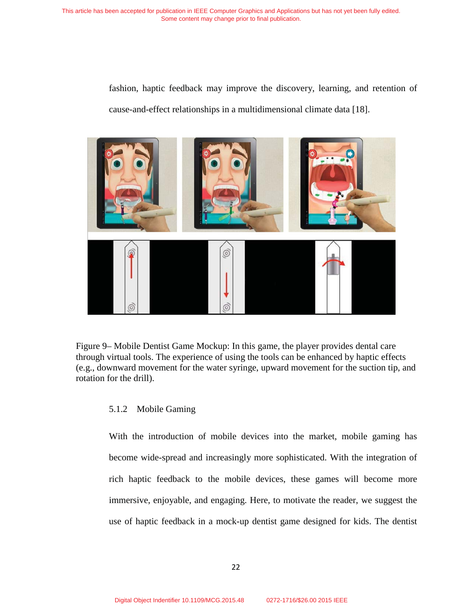fashion, haptic feedback may improve the discovery, learning, and retention of cause-and-effect relationships in a multidimensional climate data [18].



Figure 9– Mobile Dentist Game Mockup: In this game, the player provides dental care through virtual tools. The experience of using the tools can be enhanced by haptic effects (e.g., downward movement for the water syringe, upward movement for the suction tip, and rotation for the drill).

# 5.1.2 Mobile Gaming

With the introduction of mobile devices into the market, mobile gaming has become wide-spread and increasingly more sophisticated. With the integration of rich haptic feedback to the mobile devices, these games will become more immersive, enjoyable, and engaging. Here, to motivate the reader, we suggest the use of haptic feedback in a mock-up dentist game designed for kids. The dentist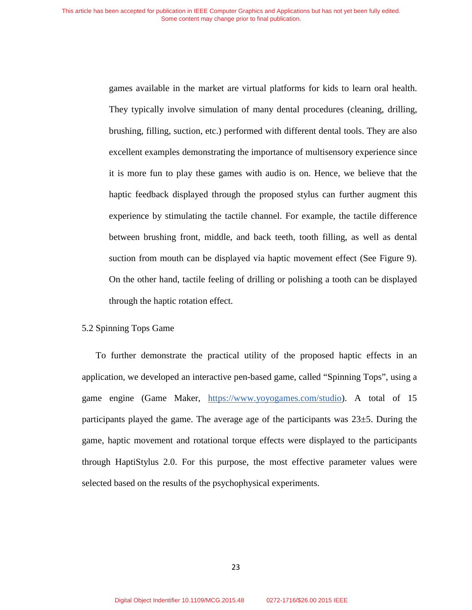games available in the market are virtual platforms for kids to learn oral health. They typically involve simulation of many dental procedures (cleaning, drilling, brushing, filling, suction, etc.) performed with different dental tools. They are also excellent examples demonstrating the importance of multisensory experience since it is more fun to play these games with audio is on. Hence, we believe that the haptic feedback displayed through the proposed stylus can further augment this experience by stimulating the tactile channel. For example, the tactile difference between brushing front, middle, and back teeth, tooth filling, as well as dental suction from mouth can be displayed via haptic movement effect (See Figure 9). On the other hand, tactile feeling of drilling or polishing a tooth can be displayed through the haptic rotation effect.

#### 5.2 Spinning Tops Game

To further demonstrate the practical utility of the proposed haptic effects in an application, we developed an interactive pen-based game, called "Spinning Tops", using a game engine (Game Maker, https://www.yoyogames.com/studio). A total of 15 participants played the game. The average age of the participants was 23±5. During the game, haptic movement and rotational torque effects were displayed to the participants through HaptiStylus 2.0. For this purpose, the most effective parameter values were selected based on the results of the psychophysical experiments.

23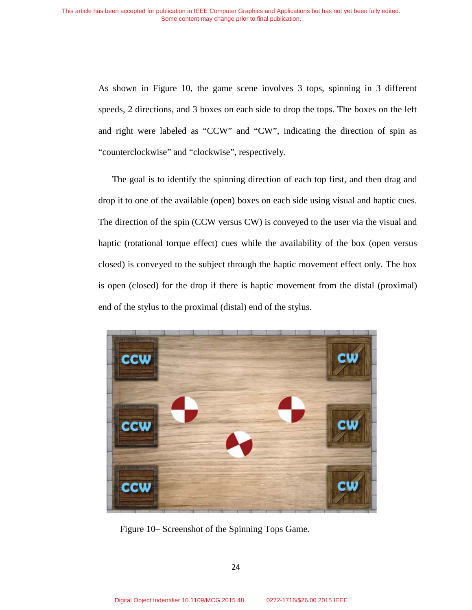As shown in Figure 10, the game scene involves 3 tops, spinning in 3 different speeds, 2 directions, and 3 boxes on each side to drop the tops. The boxes on the left and right were labeled as "CCW" and "CW", indicating the direction of spin as "counterclockwise" and "clockwise", respectively.

The goal is to identify the spinning direction of each top first, and then drag and drop it to one of the available (open) boxes on each side using visual and haptic cues. The direction of the spin (CCW versus CW) is conveyed to the user via the visual and haptic (rotational torque effect) cues while the availability of the box (open versus closed) is conveyed to the subject through the haptic movement effect only. The box is open (closed) for the drop if there is haptic movement from the distal (proximal) end of the stylus to the proximal (distal) end of the stylus.



Figure 10– Screenshot of the Spinning Tops Game.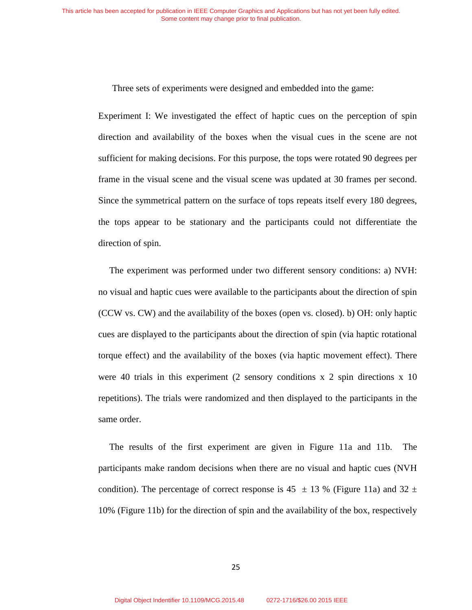Three sets of experiments were designed and embedded into the game:

Experiment I: We investigated the effect of haptic cues on the perception of spin direction and availability of the boxes when the visual cues in the scene are not sufficient for making decisions. For this purpose, the tops were rotated 90 degrees per frame in the visual scene and the visual scene was updated at 30 frames per second. Since the symmetrical pattern on the surface of tops repeats itself every 180 degrees, the tops appear to be stationary and the participants could not differentiate the direction of spin.

The experiment was performed under two different sensory conditions: a) NVH: no visual and haptic cues were available to the participants about the direction of spin (CCW vs. CW) and the availability of the boxes (open vs. closed). b) OH: only haptic cues are displayed to the participants about the direction of spin (via haptic rotational torque effect) and the availability of the boxes (via haptic movement effect). There were 40 trials in this experiment (2 sensory conditions  $x \, 2$  spin directions  $x \, 10$ repetitions). The trials were randomized and then displayed to the participants in the same order.

The results of the first experiment are given in Figure 11a and 11b. The participants make random decisions when there are no visual and haptic cues (NVH condition). The percentage of correct response is 45  $\pm$  13 % (Figure 11a) and 32  $\pm$ 10% (Figure 11b) for the direction of spin and the availability of the box, respectively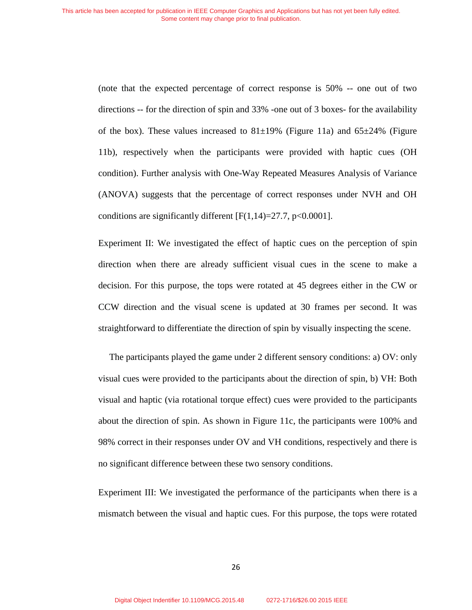(note that the expected percentage of correct response is 50% -- one out of two directions -- for the direction of spin and 33% -one out of 3 boxes- for the availability of the box). These values increased to  $81\pm19\%$  (Figure 11a) and  $65\pm24\%$  (Figure 11b), respectively when the participants were provided with haptic cues (OH condition). Further analysis with One-Way Repeated Measures Analysis of Variance (ANOVA) suggests that the percentage of correct responses under NVH and OH conditions are significantly different  $[F(1,14)=27.7, p<0.0001]$ .

Experiment II: We investigated the effect of haptic cues on the perception of spin direction when there are already sufficient visual cues in the scene to make a decision. For this purpose, the tops were rotated at 45 degrees either in the CW or CCW direction and the visual scene is updated at 30 frames per second. It was straightforward to differentiate the direction of spin by visually inspecting the scene.

The participants played the game under 2 different sensory conditions: a) OV: only visual cues were provided to the participants about the direction of spin, b) VH: Both visual and haptic (via rotational torque effect) cues were provided to the participants about the direction of spin. As shown in Figure 11c, the participants were 100% and 98% correct in their responses under OV and VH conditions, respectively and there is no significant difference between these two sensory conditions.

Experiment III: We investigated the performance of the participants when there is a mismatch between the visual and haptic cues. For this purpose, the tops were rotated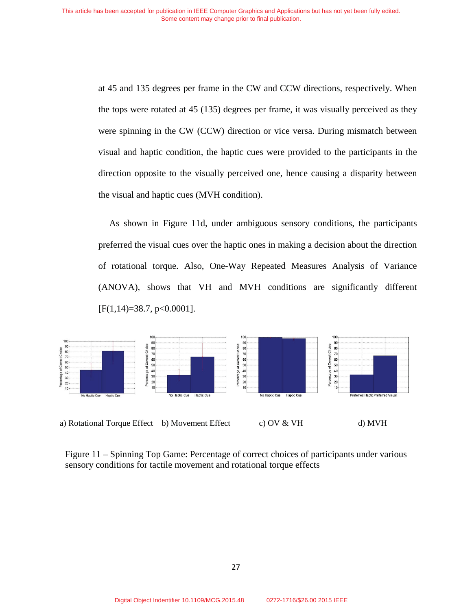at 45 and 135 degrees per frame in the CW and CCW directions, respectively. When the tops were rotated at 45 (135) degrees per frame, it was visually perceived as they were spinning in the CW (CCW) direction or vice versa. During mismatch between visual and haptic condition, the haptic cues were provided to the participants in the direction opposite to the visually perceived one, hence causing a disparity between the visual and haptic cues (MVH condition).

As shown in Figure 11d, under ambiguous sensory conditions, the participants preferred the visual cues over the haptic ones in making a decision about the direction of rotational torque. Also, One-Way Repeated Measures Analysis of Variance (ANOVA), shows that VH and MVH conditions are significantly different  $[F(1,14)=38.7, p<0.0001].$ 



Figure 11 – Spinning Top Game: Percentage of correct choices of participants under various sensory conditions for tactile movement and rotational torque effects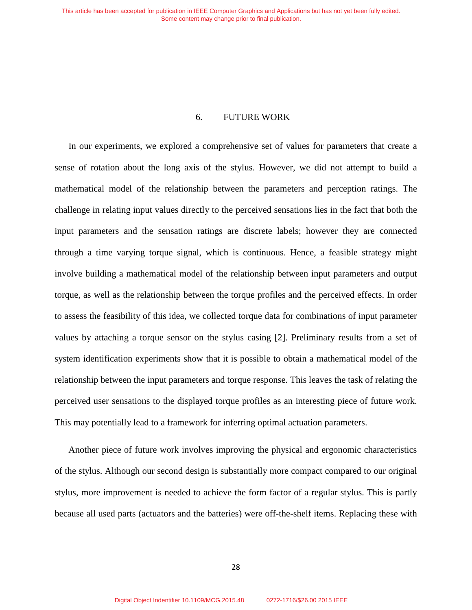### 6. FUTURE WORK

In our experiments, we explored a comprehensive set of values for parameters that create a sense of rotation about the long axis of the stylus. However, we did not attempt to build a mathematical model of the relationship between the parameters and perception ratings. The challenge in relating input values directly to the perceived sensations lies in the fact that both the input parameters and the sensation ratings are discrete labels; however they are connected through a time varying torque signal, which is continuous. Hence, a feasible strategy might involve building a mathematical model of the relationship between input parameters and output torque, as well as the relationship between the torque profiles and the perceived effects. In order to assess the feasibility of this idea, we collected torque data for combinations of input parameter values by attaching a torque sensor on the stylus casing [2]. Preliminary results from a set of system identification experiments show that it is possible to obtain a mathematical model of the relationship between the input parameters and torque response. This leaves the task of relating the perceived user sensations to the displayed torque profiles as an interesting piece of future work. This may potentially lead to a framework for inferring optimal actuation parameters.

Another piece of future work involves improving the physical and ergonomic characteristics of the stylus. Although our second design is substantially more compact compared to our original stylus, more improvement is needed to achieve the form factor of a regular stylus. This is partly because all used parts (actuators and the batteries) were off-the-shelf items. Replacing these with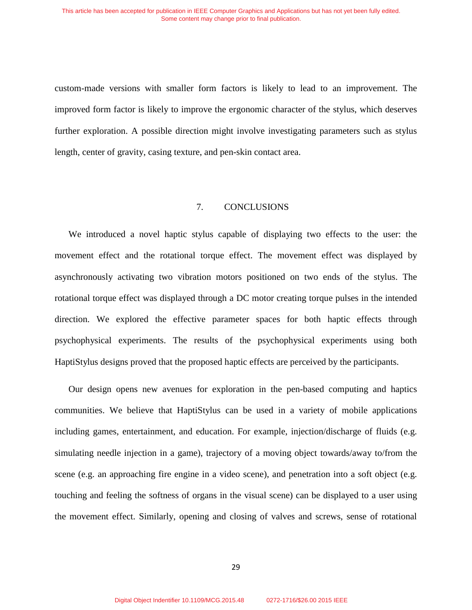custom-made versions with smaller form factors is likely to lead to an improvement. The improved form factor is likely to improve the ergonomic character of the stylus, which deserves further exploration. A possible direction might involve investigating parameters such as stylus length, center of gravity, casing texture, and pen-skin contact area.

# 7. CONCLUSIONS

We introduced a novel haptic stylus capable of displaying two effects to the user: the movement effect and the rotational torque effect. The movement effect was displayed by asynchronously activating two vibration motors positioned on two ends of the stylus. The rotational torque effect was displayed through a DC motor creating torque pulses in the intended direction. We explored the effective parameter spaces for both haptic effects through psychophysical experiments. The results of the psychophysical experiments using both HaptiStylus designs proved that the proposed haptic effects are perceived by the participants.

Our design opens new avenues for exploration in the pen-based computing and haptics communities. We believe that HaptiStylus can be used in a variety of mobile applications including games, entertainment, and education. For example, injection/discharge of fluids (e.g. simulating needle injection in a game), trajectory of a moving object towards/away to/from the scene (e.g. an approaching fire engine in a video scene), and penetration into a soft object (e.g. touching and feeling the softness of organs in the visual scene) can be displayed to a user using the movement effect. Similarly, opening and closing of valves and screws, sense of rotational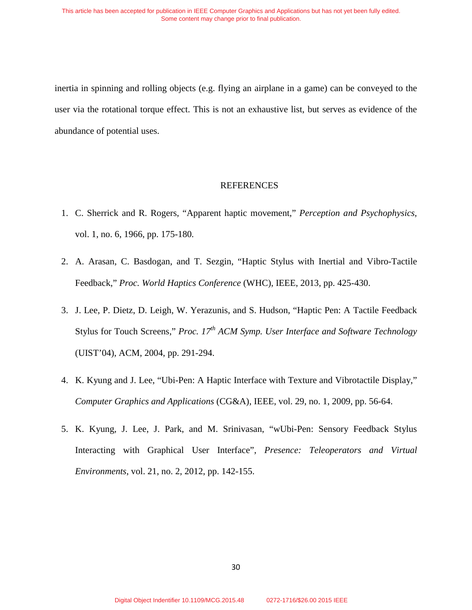inertia in spinning and rolling objects (e.g. flying an airplane in a game) can be conveyed to the user via the rotational torque effect. This is not an exhaustive list, but serves as evidence of the abundance of potential uses.

# **REFERENCES**

- 1. C. Sherrick and R. Rogers, "Apparent haptic movement," *Perception and Psychophysics*, vol. 1, no. 6, 1966, pp. 175-180*.*
- 2. A. Arasan, C. Basdogan, and T. Sezgin, "Haptic Stylus with Inertial and Vibro-Tactile Feedback," *Proc. World Haptics Conference* (WHC), IEEE, 2013, pp. 425-430.
- 3. J. Lee, P. Dietz, D. Leigh, W. Yerazunis, and S. Hudson, "Haptic Pen: A Tactile Feedback Stylus for Touch Screens," *Proc. 17th ACM Symp. User Interface and Software Technology* (UIST'04), ACM, 2004, pp. 291-294.
- 4. K. Kyung and J. Lee, "Ubi-Pen: A Haptic Interface with Texture and Vibrotactile Display," *Computer Graphics and Applications* (CG&A), IEEE, vol. 29, no. 1, 2009, pp. 56-64.
- 5. K. Kyung, J. Lee, J. Park, and M. Srinivasan, "wUbi-Pen: Sensory Feedback Stylus Interacting with Graphical User Interface", *Presence: Teleoperators and Virtual Environments*, vol. 21, no. 2, 2012, pp. 142-155.

30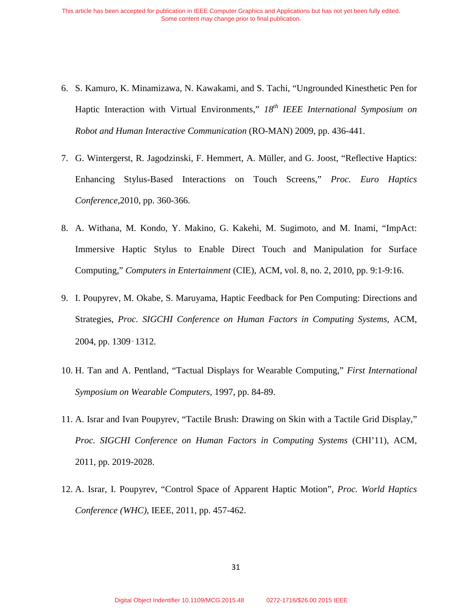- 6. S. Kamuro, K. Minamizawa, N. Kawakami, and S. Tachi, "Ungrounded Kinesthetic Pen for Haptic Interaction with Virtual Environments," *18th IEEE International Symposium on Robot and Human Interactive Communication* (RO-MAN) 2009, pp. 436-441.
- 7. G. Wintergerst, R. Jagodzinski, F. Hemmert, A. Müller, and G. Joost, "Reflective Haptics: Enhancing Stylus-Based Interactions on Touch Screens," *Proc. Euro Haptics Conference*,2010, pp. 360-366.
- 8. A. Withana, M. Kondo, Y. Makino, G. Kakehi, M. Sugimoto, and M. Inami, "ImpAct: Immersive Haptic Stylus to Enable Direct Touch and Manipulation for Surface Computing," *Computers in Entertainment* (CIE), ACM, vol. 8, no. 2, 2010, pp. 9:1-9:16.
- 9. I. Poupyrev, M. Okabe, S. Maruyama, Haptic Feedback for Pen Computing: Directions and Strategies, *Proc. SIGCHI Conference on Human Factors in Computing Systems*, ACM, 2004, pp. 1309-1312.
- 10. H. Tan and A. Pentland, "Tactual Displays for Wearable Computing," *First International Symposium on Wearable Computers,* 1997, pp. 84-89.
- 11. A. Israr and Ivan Poupyrev, "Tactile Brush: Drawing on Skin with a Tactile Grid Display," *Proc. SIGCHI Conference on Human Factors in Computing Systems* (CHI'11), ACM, 2011, pp. 2019-2028.
- 12. A. Israr, I. Poupyrev, "Control Space of Apparent Haptic Motion", *Proc. World Haptics Conference (WHC)*, IEEE, 2011, pp. 457-462.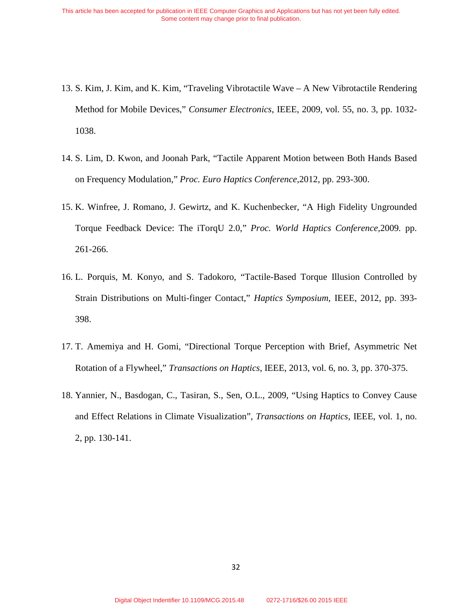- 13. S. Kim, J. Kim, and K. Kim, "Traveling Vibrotactile Wave A New Vibrotactile Rendering Method for Mobile Devices," *Consumer Electronics*, IEEE, 2009, vol. 55, no. 3, pp. 1032- 1038.
- 14. S. Lim, D. Kwon, and Joonah Park, "Tactile Apparent Motion between Both Hands Based on Frequency Modulation," *Proc. Euro Haptics Conference,*2012, pp. 293-300.
- 15. K. Winfree, J. Romano, J. Gewirtz, and K. Kuchenbecker, "A High Fidelity Ungrounded Torque Feedback Device: The iTorqU 2.0," *Proc. World Haptics Conference,*2009*.* pp. 261-266.
- 16. L. Porquis, M. Konyo, and S. Tadokoro, "Tactile-Based Torque Illusion Controlled by Strain Distributions on Multi-finger Contact," *Haptics Symposium*, IEEE, 2012, pp. 393- 398.
- 17. T. Amemiya and H. Gomi, "Directional Torque Perception with Brief, Asymmetric Net Rotation of a Flywheel," *Transactions on Haptics*, IEEE, 2013, vol. 6, no. 3, pp. 370-375.
- 18. Yannier, N., Basdogan, C., Tasiran, S., Sen, O.L., 2009, "Using Haptics to Convey Cause and Effect Relations in Climate Visualization", *Transactions on Haptics*, IEEE, vol. 1, no. 2, pp. 130-141.

32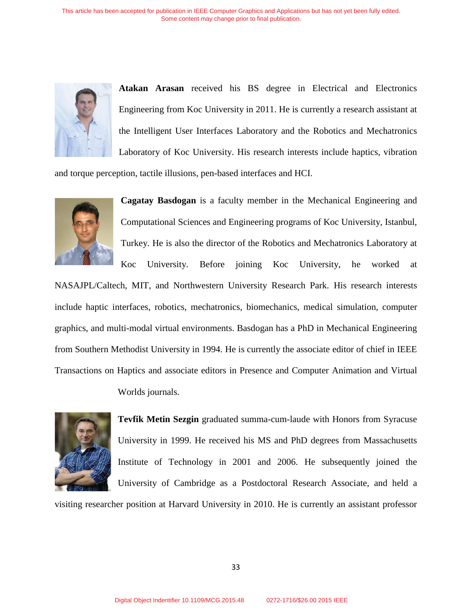

**Atakan Arasan** received his BS degree in Electrical and Electronics Engineering from Koc University in 2011. He is currently a research assistant at the Intelligent User Interfaces Laboratory and the Robotics and Mechatronics Laboratory of Koc University. His research interests include haptics, vibration

and torque perception, tactile illusions, pen-based interfaces and HCI.



**Cagatay Basdogan** is a faculty member in the Mechanical Engineering and Computational Sciences and Engineering programs of Koc University, Istanbul, Turkey. He is also the director of the Robotics and Mechatronics Laboratory at Koc University. Before joining Koc University, he worked at

NASAJPL/Caltech, MIT, and Northwestern University Research Park. His research interests include haptic interfaces, robotics, mechatronics, biomechanics, medical simulation, computer graphics, and multi-modal virtual environments. Basdogan has a PhD in Mechanical Engineering from Southern Methodist University in 1994. He is currently the associate editor of chief in IEEE Transactions on Haptics and associate editors in Presence and Computer Animation and Virtual

Worlds journals.



**Tevfik Metin Sezgin** graduated summa-cum-laude with Honors from Syracuse University in 1999. He received his MS and PhD degrees from Massachusetts Institute of Technology in 2001 and 2006. He subsequently joined the University of Cambridge as a Postdoctoral Research Associate, and held a

visiting researcher position at Harvard University in 2010. He is currently an assistant professor